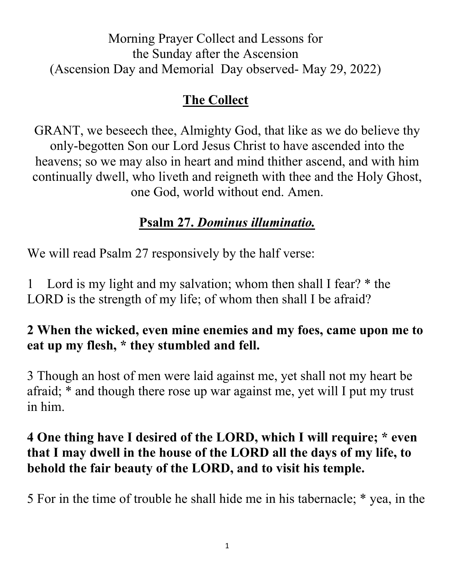Morning Prayer Collect and Lessons for the Sunday after the Ascension (Ascension Day and Memorial Day observed- May 29, 2022)

## **The Collect**

GRANT, we beseech thee, Almighty God, that like as we do believe thy only-begotten Son our Lord Jesus Christ to have ascended into the heavens; so we may also in heart and mind thither ascend, and with him continually dwell, who liveth and reigneth with thee and the Holy Ghost, one God, world without end. Amen.

# **Psalm 27.** *Dominus illuminatio.*

We will read Psalm 27 responsively by the half verse:

1 Lord is my light and my salvation; whom then shall I fear? \* the LORD is the strength of my life; of whom then shall I be afraid?

## **2 When the wicked, even mine enemies and my foes, came upon me to eat up my flesh, \* they stumbled and fell.**

3 Though an host of men were laid against me, yet shall not my heart be afraid; \* and though there rose up war against me, yet will I put my trust in him.

#### **4 One thing have I desired of the LORD, which I will require; \* even that I may dwell in the house of the LORD all the days of my life, to behold the fair beauty of the LORD, and to visit his temple.**

5 For in the time of trouble he shall hide me in his tabernacle; \* yea, in the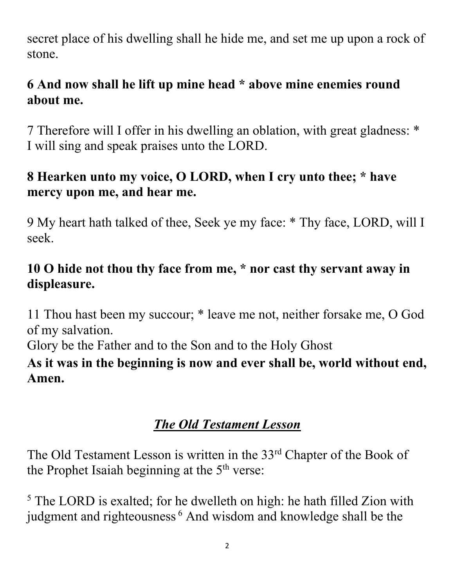secret place of his dwelling shall he hide me, and set me up upon a rock of stone.

## **6 And now shall he lift up mine head \* above mine enemies round about me.**

7 Therefore will I offer in his dwelling an oblation, with great gladness: \* I will sing and speak praises unto the LORD.

## **8 Hearken unto my voice, O LORD, when I cry unto thee; \* have mercy upon me, and hear me.**

9 My heart hath talked of thee, Seek ye my face: \* Thy face, LORD, will I seek.

# **10 O hide not thou thy face from me, \* nor cast thy servant away in displeasure.**

11 Thou hast been my succour; \* leave me not, neither forsake me, O God of my salvation.

Glory be the Father and to the Son and to the Holy Ghost

**As it was in the beginning is now and ever shall be, world without end, Amen.**

## *The Old Testament Lesson*

The Old Testament Lesson is written in the 33<sup>rd</sup> Chapter of the Book of the Prophet Isaiah beginning at the  $5<sup>th</sup>$  verse:

<sup>5</sup> The LORD is exalted; for he dwelleth on high: he hath filled Zion with judgment and righteousness<sup>6</sup> And wisdom and knowledge shall be the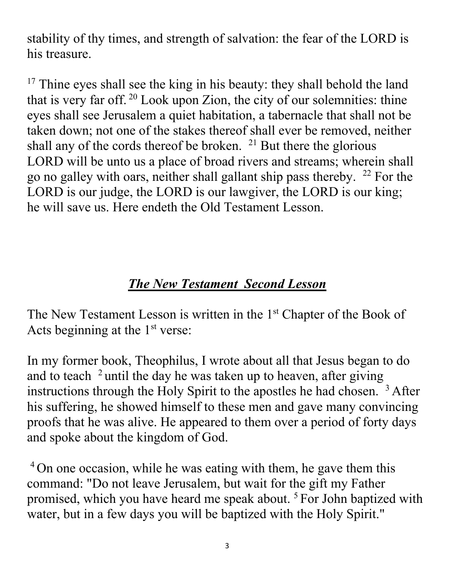stability of thy times, and strength of salvation: the fear of the LORD is his treasure.

 $17$  Thine eyes shall see the king in his beauty: they shall behold the land that is very far off.  $20$  Look upon Zion, the city of our solemnities: thine eyes shall see Jerusalem a quiet habitation, a tabernacle that shall not be taken down; not one of the stakes thereof shall ever be removed, neither shall any of the cords thereof be broken.  $21$  But there the glorious LORD will be unto us a place of broad rivers and streams; wherein shall go no galley with oars, neither shall gallant ship pass thereby.  $22$  For the LORD is our judge, the LORD is our lawgiver, the LORD is our king; he will save us. Here endeth the Old Testament Lesson.

## *The New Testament Second Lesson*

The New Testament Lesson is written in the 1<sup>st</sup> Chapter of the Book of Acts beginning at the  $1<sup>st</sup>$  verse:

In my former book, Theophilus, I wrote about all that Jesus began to do and to teach  $2$  until the day he was taken up to heaven, after giving instructions through the Holy Spirit to the apostles he had chosen. <sup>3</sup> After his suffering, he showed himself to these men and gave many convincing proofs that he was alive. He appeared to them over a period of forty days and spoke about the kingdom of God.

<sup>4</sup> On one occasion, while he was eating with them, he gave them this command: "Do not leave Jerusalem, but wait for the gift my Father promised, which you have heard me speak about. 5 For John baptized with water, but in a few days you will be baptized with the Holy Spirit."